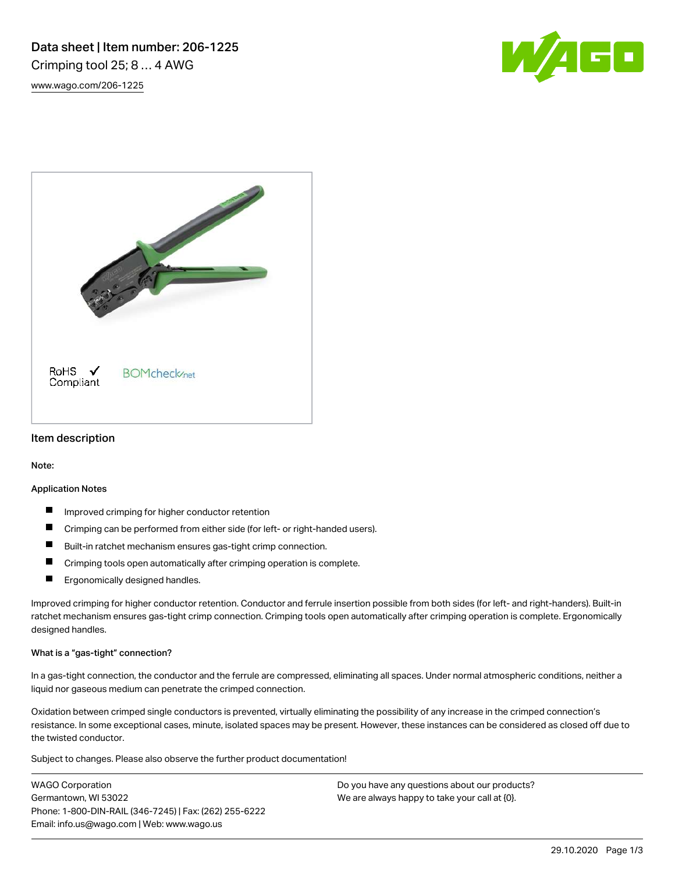# Data sheet | Item number: 206-1225 Crimping tool 25; 8 … 4 AWG

[www.wago.com/206-1225](http://www.wago.com/206-1225)





### Item description

Note:

#### Application Notes

- Improved crimping for higher conductor retention
- Crimping can be performed from either side (for left- or right-handed users).
- П Built-in ratchet mechanism ensures gas-tight crimp connection.
- $\blacksquare$ Crimping tools open automatically after crimping operation is complete.
- Ergonomically designed handles.  $\blacksquare$

Improved crimping for higher conductor retention. Conductor and ferrule insertion possible from both sides (for left- and right-handers). Built-in ratchet mechanism ensures gas-tight crimp connection. Crimping tools open automatically after crimping operation is complete. Ergonomically designed handles.

#### What is a "gas-tight" connection?

In a gas-tight connection, the conductor and the ferrule are compressed, eliminating all spaces. Under normal atmospheric conditions, neither a liquid nor gaseous medium can penetrate the crimped connection.

Oxidation between crimped single conductors is prevented, virtually eliminating the possibility of any increase in the crimped connection's resistance. In some exceptional cases, minute, isolated spaces may be present. However, these instances can be considered as closed off due to the twisted conductor.

Subject to changes. Please also observe the further product documentation!

WAGO Corporation Germantown, WI 53022 Phone: 1-800-DIN-RAIL (346-7245) | Fax: (262) 255-6222 Email: info.us@wago.com | Web: www.wago.us

Do you have any questions about our products? We are always happy to take your call at  ${0}$ .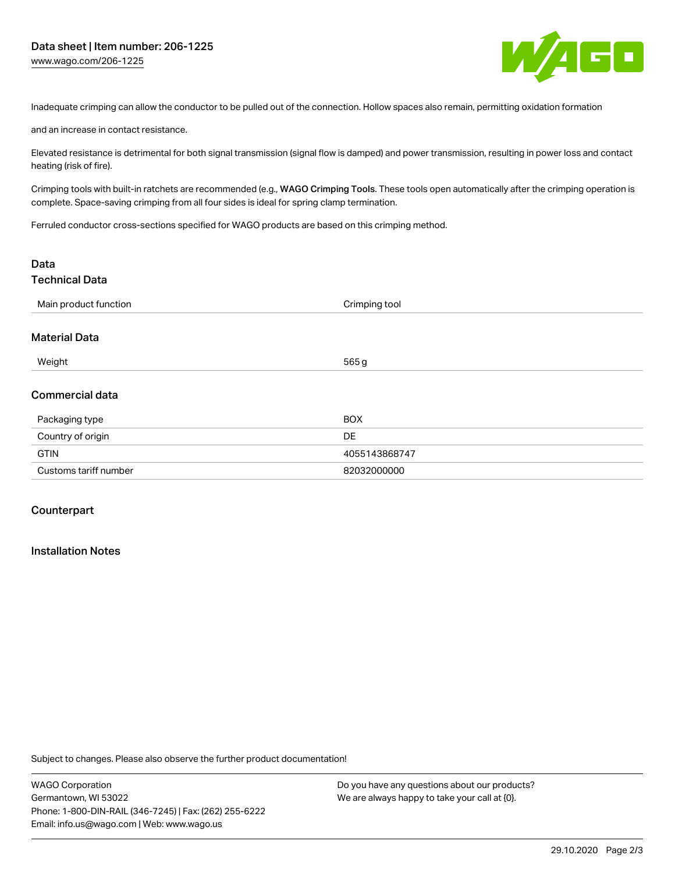

Inadequate crimping can allow the conductor to be pulled out of the connection. Hollow spaces also remain, permitting oxidation formation

and an increase in contact resistance.

Elevated resistance is detrimental for both signal transmission (signal flow is damped) and power transmission, resulting in power loss and contact heating (risk of fire).

Crimping tools with built-in ratchets are recommended (e.g., WAGO Crimping Tools. These tools open automatically after the crimping operation is complete. Space-saving crimping from all four sides is ideal for spring clamp termination.

Ferruled conductor cross-sections specified for WAGO products are based on this crimping method.

| Data                   |               |  |
|------------------------|---------------|--|
| <b>Technical Data</b>  |               |  |
| Main product function  | Crimping tool |  |
| <b>Material Data</b>   |               |  |
| Weight                 | 565 g         |  |
| <b>Commercial data</b> |               |  |
| Packaging type         | <b>BOX</b>    |  |
| Country of origin      | <b>DE</b>     |  |
| <b>GTIN</b>            | 4055143868747 |  |
| Customs tariff number  | 82032000000   |  |

## **Counterpart**

#### Installation Notes

Subject to changes. Please also observe the further product documentation!

Do you have any questions about our products? We are always happy to take your call at {0}.